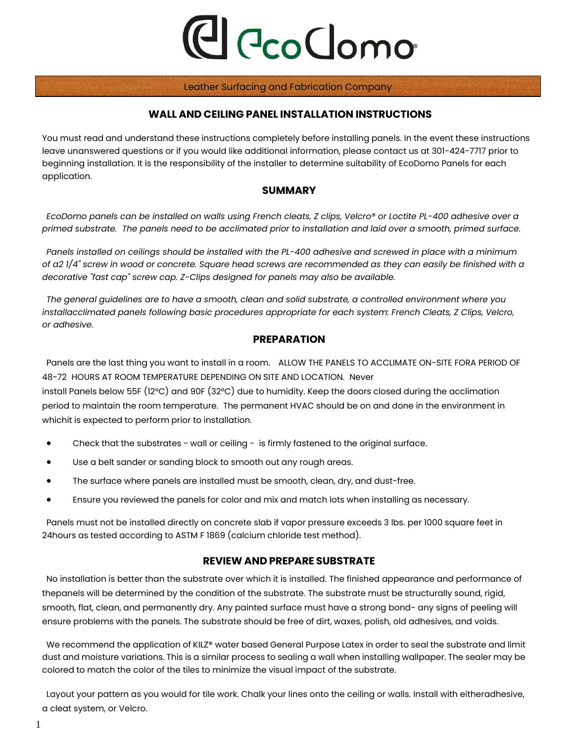# C CcoClomo

#### Leather Surfacing and Fabrication Company

#### **WALL AND CEILING PANEL INSTALLATION INSTRUCTIONS**

You must read and understand these instructions completely before installing panels. In the event these instructions leave unanswered questions or if you would like additional information, please contact us at 301-424-7717 prior to beginning installation. It is the responsibility of the installer to determine suitability of EcoDomo Panels for each application.

#### **SUMMARY**

*EcoDomo panels can be installed on walls using French cleats, Z clips, Velcro® or Loctite PL-400 adhesive over a primed substrate. The panels need to be acclimated prior to installation and laid over a smooth, primed surface.*

*Panels installed on ceilings should be installed with the PL-400 adhesive and screwed in place with a minimum of a2 1/4" screw in wood or concrete. Square head screws are recommended as they can easily be finished with a decorative "fast cap" screw cap. Z-Clips designed for panels may also be available.*

*The general guidelines are to have a smooth, clean and solid substrate, a controlled environment where you installacclimated panels following basic procedures appropriate for each system: French Cleats, Z Clips, Velcro, or adhesive.*

#### **PREPARATION**

Panels are the last thing you want to install in a room. ALLOW THE PANELS TO ACCLIMATE ON-SITE FORA PERIOD OF 48-72 HOURS AT ROOM TEMPERATURE DEPENDING ON SITE AND LOCATION. Never

install Panels below 55F (12°C) and 90F (32°C) due to humidity. Keep the doors closed during the acclimation period to maintain the room temperature. The permanent HVAC should be on and done in the environment in whichit is expected to perform prior to installation.

- Check that the substrates wall or ceiling is firmly fastened to the original surface.
- Use a belt sander or sanding block to smooth out any rough areas.
- The surface where panels are installed must be smooth, clean, dry, and dust-free.
- Ensure you reviewed the panels for color and mix and match lots when installing as necessary.

Panels must not be installed directly on concrete slab if vapor pressure exceeds 3 lbs. per 1000 square feet in 24hours as tested according to ASTM F 1869 (calcium chloride test method).

#### **REVIEW AND PREPARE SUBSTRATE**

No installation is better than the substrate over which it is installed. The finished appearance and performance of thepanels will be determined by the condition of the substrate. The substrate must be structurally sound, rigid, smooth, flat, clean, and permanently dry. Any painted surface must have a strong bond- any signs of peeling will ensure problems with the panels. The substrate should be free of dirt, waxes, polish, old adhesives, and voids.

We recommend the application of KILZ® water based General Purpose Latex in order to seal the substrate and limit dust and moisture variations. This is a similar process to sealing a wall when installing wallpaper. The sealer may be colored to match the color of the tiles to minimize the visual impact of the substrate.

Layout your pattern as you would for tile work. Chalk your lines onto the ceiling or walls. Install with eitheradhesive, a cleat system, or Velcro.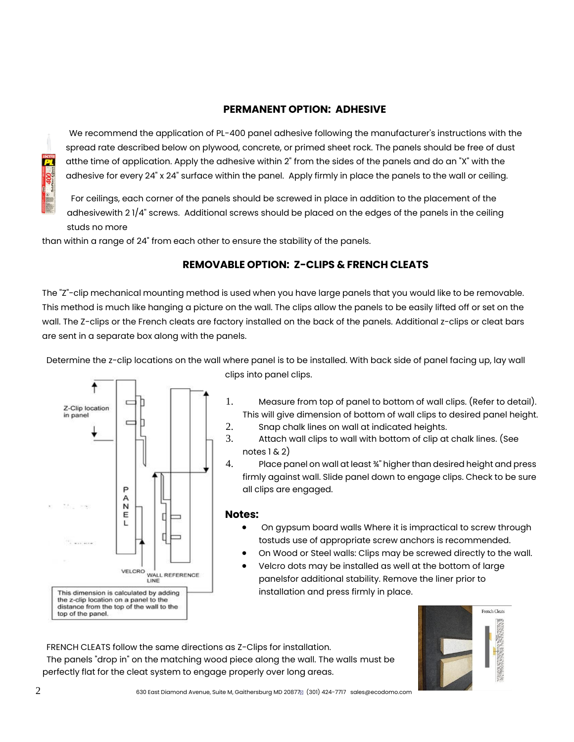#### **PERMANENT OPTION: ADHESIVE**

We recommend the application of PL-400 panel adhesive following the manufacturer's instructions with the spread rate described below on plywood, concrete, or primed sheet rock. The panels should be free of dust atthe time of application. Apply the adhesive within 2" from the sides of the panels and do an "X" with the adhesive for every 24" x 24" surface within the panel. Apply firmly in place the panels to the wall or ceiling.

For ceilings, each corner of the panels should be screwed in place in addition to the placement of the adhesivewith 2 1/4" screws. Additional screws should be placed on the edges of the panels in the ceiling studs no more

than within a range of 24" from each other to ensure the stability of the panels.

## **REMOVABLE OPTION: Z-CLIPS & FRENCH CLEATS**

The "Z"-clip mechanical mounting method is used when you have large panels that you would like to be removable. This method is much like hanging a picture on the wall. The clips allow the panels to be easily lifted off or set on the wall. The Z-clips or the French cleats are factory installed on the back of the panels. Additional z-clips or cleat bars are sent in a separate box along with the panels.

Determine the z-clip locations on the wall where panel is to be installed. With back side of panel facing up, lay wall



clips into panel clips.

- 1. Measure from top of panel to bottom of wall clips. (Refer to detail). This will give dimension of bottom of wall clips to desired panel height.
- 2. Snap chalk lines on wall at indicated heights.
- 3. Attach wall clips to wall with bottom of clip at chalk lines. (See notes  $1 \& 2)$
- 4. Place panel on wall at least ¾" higher than desired height and press firmly against wall. Slide panel down to engage clips. Check to be sure all clips are engaged.

#### **Notes:**

- On gypsum board walls Where it is impractical to screw through tostuds use of appropriate screw anchors is recommended.
- On Wood or Steel walls: Clips may be screwed directly to the wall.
- Velcro dots may be installed as well at the bottom of large panelsfor additional stability. Remove the liner prior to installation and press firmly in place.